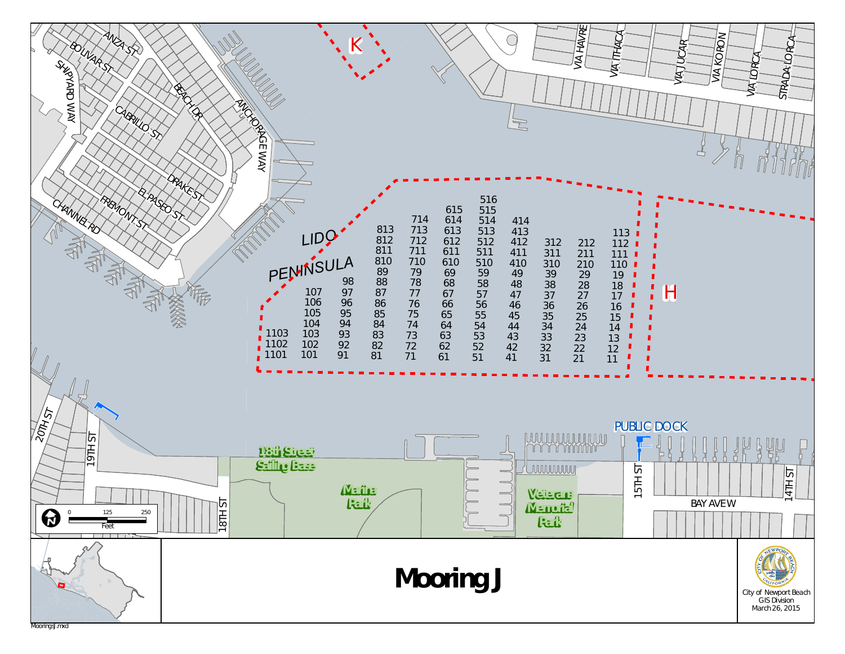